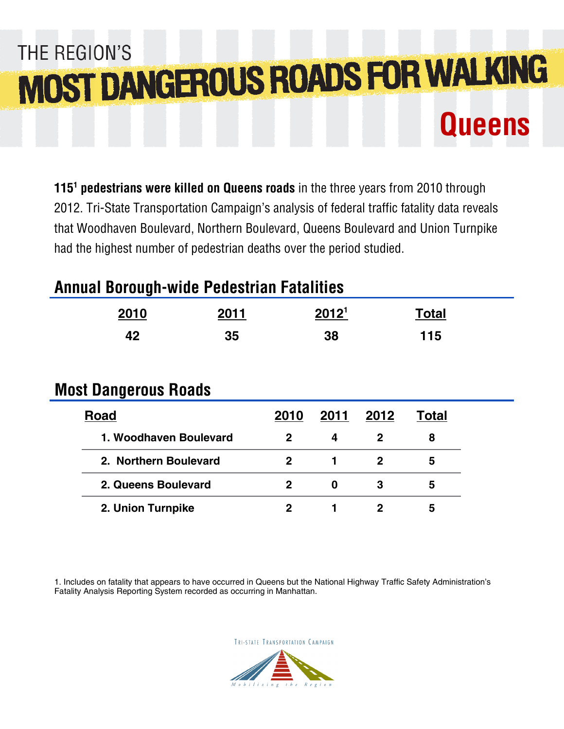# THE REGION'S **MOST DANGEROUS ROADS FOR WALKING Queens**

**115<sup>1</sup> pedestrians were killed on Queens roads** in the three years from 2010 through 2012. Tri-State Transportation Campaign's analysis of federal traffic fatality data reveals that Woodhaven Boulevard, Northern Boulevard, Queens Boulevard and Union Turnpike had the highest number of pedestrian deaths over the period studied.

## **Annual Borough-wide Pedestrian Fatalities**

| 2010                        | 2011 |                | 2012 <sup>1</sup> |                | <b>Total</b> |  |
|-----------------------------|------|----------------|-------------------|----------------|--------------|--|
| 42                          | 35   |                | 38                |                | 115          |  |
|                             |      |                |                   |                |              |  |
| <b>Most Dangerous Roads</b> |      |                |                   |                |              |  |
| <b>Road</b>                 |      | 2010           | 2011              | 2012           | <b>Total</b> |  |
| 1. Woodhaven Boulevard      |      | $\mathbf{2}$   | 4                 | $\overline{2}$ | 8            |  |
| 2. Northern Boulevard       |      | $\mathbf{2}$   | 1                 | $\mathbf 2$    | 5            |  |
| 2. Queens Boulevard         |      | $\overline{2}$ | $\bf{0}$          | 3              | 5            |  |
| 2. Union Turnpike           |      | $\mathbf 2$    |                   | $\mathbf 2$    | 5            |  |

1. Includes on fatality that appears to have occurred in Queens but the National Highway Traffic Safety Administration's Fatality Analysis Reporting System recorded as occurring in Manhattan.

TRI-STATE TRANSPORTATION CAMPAIGN